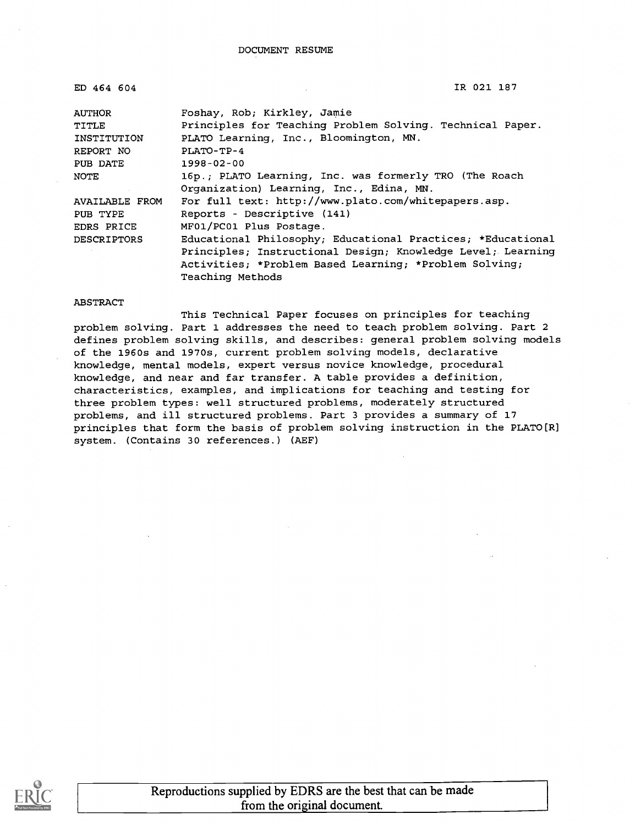| ED 464 604         | IR 021 187                                                  |
|--------------------|-------------------------------------------------------------|
|                    |                                                             |
| AUTHOR             | Foshay, Rob; Kirkley, Jamie                                 |
| TITLE              | Principles for Teaching Problem Solving. Technical Paper.   |
| INSTITUTION        | PLATO Learning, Inc., Bloomington, MN.                      |
| REPORT NO          | $PLATO-TP-4$                                                |
| PUB DATE           | $1998 - 02 - 00$                                            |
| NOTE               | 16p.; PLATO Learning, Inc. was formerly TRO (The Roach      |
|                    | Organization) Learning, Inc., Edina, MN.                    |
| AVAILABLE FROM     | For full text: http://www.plato.com/whitepapers.asp.        |
| PUB TYPE           | Reports - Descriptive (141)                                 |
| EDRS PRICE         | MF01/PC01 Plus Postage.                                     |
| <b>DESCRIPTORS</b> | Educational Philosophy; Educational Practices; *Educational |
|                    | Principles; Instructional Design; Knowledge Level; Learning |
|                    | Activities; *Problem Based Learning; *Problem Solving;      |
|                    | Teaching Methods                                            |

#### ABSTRACT

This Technical Paper focuses on principles for teaching problem solving. Part 1 addresses the need to teach problem solving. Part 2 defines problem solving skills, and describes: general problem solving models of the 1960s and 1970s, current problem solving models, declarative knowledge, mental models, expert versus novice knowledge, procedural knowledge, and near and far transfer. A table provides a definition, characteristics, examples, and implications for teaching and testing for three problem types: well structured problems, moderately structured problems, and ill structured problems. Part 3 provides a summary of 17 principles that form the basis of problem solving instruction in the PLATO[R] system. (Contains 30 references.) (AEF)

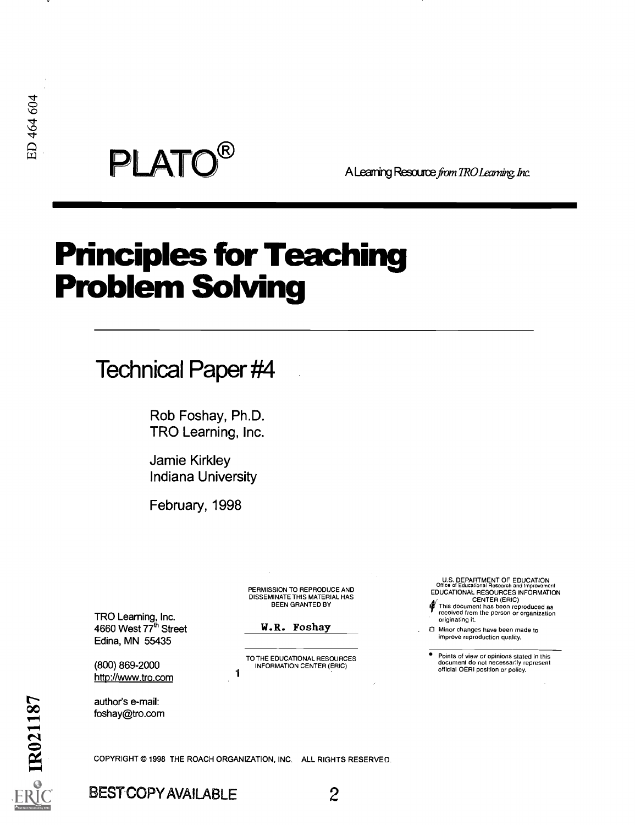$\mathsf{PLATO}^\mathsf{R}$  A Learning Resource from TRO Learning Inc.

# Principles for Teaching Problem Solving

# Technical Paper #4

Rob Foshay, Ph.D. TRO Learning, Inc.

Jamie Kirkley Indiana University

February, 1998

DISSEMINATE THIS MATERIAL HAS BEEN GRANTED BY

TRO Learning, Inc. 4660 West 77<sup>th</sup> Street Edina, MN 55435

1

COPYRIGHT @ 1998 THE ROACH ORGANIZATION, INC. ALL RIGHTS RESERVED.

(800) 869-2000 http://www.tro.com

W.R. Foshay

PERMISSION TO REPRODUCE AND

TO THE EDUCATIONAL RESOURCES INFORMATION CENTER (ERIC)

U.S. DEPARTMENT OF EDUCATION Office of Educational Research and Improvement EDUCATIONAL RESOURCES INFORMATION

CENTER (ERIC) Er This document has been reproduced as received from the person or organization originating it.

CI Minor changes have been made to improve reproduction quality.

Points of view or opinions stated in this document do not necessarly represent official OERI position or policy.

**author's e-mail:**<br>
foshay@tro.com<br> **COMPRENT COPY**<br> **COPYRIGHT © 1998**<br> **ERIC BESTCOPY** 

BEST COPY AVAILABLE 2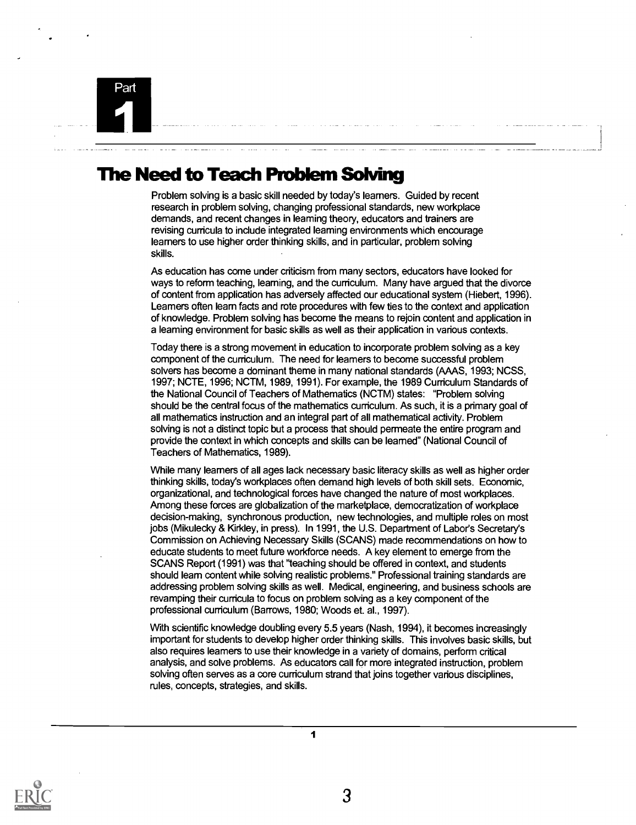

### **The Need to Teach Problem Solving**

Problem solving is a basic skill needed by today's learners. Guided by recent research in problem solving, changing professional standards, new workplace demands, and recent changes in learning theory, educators and trainers are revising curricula to include integrated learning environments which encourage learners to use higher order thinking skills, and in particular, problem solving skills.

As education has come under criticism from many sectors, educators have looked for ways to reform teaching, learning, and the curriculum. Many have argued that the divorce of content from application has adversely affected our educational system (Hiebert, 1996). Learners often learn facts and rote procedures with few ties to the context and application of knowledge. Problem solving has become the means to rejoin content and application in a learning environment for basic skills as well as their application in various contexts.

Today there is a strong movement in education to incorporate problem solving as a key component of the curriculum. The need for learners to become successful problem solvers has become a dominant theme in many national standards (AAAS, 1993; NCSS, 1997; NCTE, 1996; NCTM, 1989, 1991). For example, the 1989 Curriculum Standards of the National Council of Teachers of Mathematics (NCTM) states: "Problem solving should be the central focus of the mathematics curriculum. As such, it is a primary goal of all mathematics instruction and an integral part of all mathematical activity. Problem solving is not a distinct topic but a process that should permeate the entire program and provide the context in which concepts and skills can be learned" (National Council of Teachers of Mathematics, 1989).

While many learners of all ages lack necessary basic literacy skills as well as higher order thinking skills, today's workplaces often demand high levels of both skill sets. Economic, organizational, and technological forces have changed the nature of most workplaces. Among these forces are globalization of the marketplace, democratization of workplace decision-making, synchronous production, new technologies, and multiple roles on most jobs (Mikulecky & Kirkley, in press). In 1991, the U.S. Department of Labor's Secretary's Commission on Achieving Necessary Skills (SCANS) made recommendations on how to educate students to meet future workforce needs. A key element to emerge from the SCANS Report (1991) was that 'teaching should be offered in context, and students should learn content while solving realistic problems." Professional training standards are addressing problem solving skills as well. Medical, engineering, and business schools are revamping their curricula to focus on problem solving as a key component of the professional curriculum (Barrows, 1980; Woods et. al., 1997).

With scientific knowledge doubling every 5.5 years (Nash, 1994), it becomes increasingly important for students to develop higher order thinking skills. This involves basic skills, but also requires learners to use their knowledge in a variety of domains, perform critical analysis, and solve problems. As educators call for more integrated instruction, problem solving often serves as a core curriculum strand that joins together various disciplines, rules, concepts, strategies, and skills.

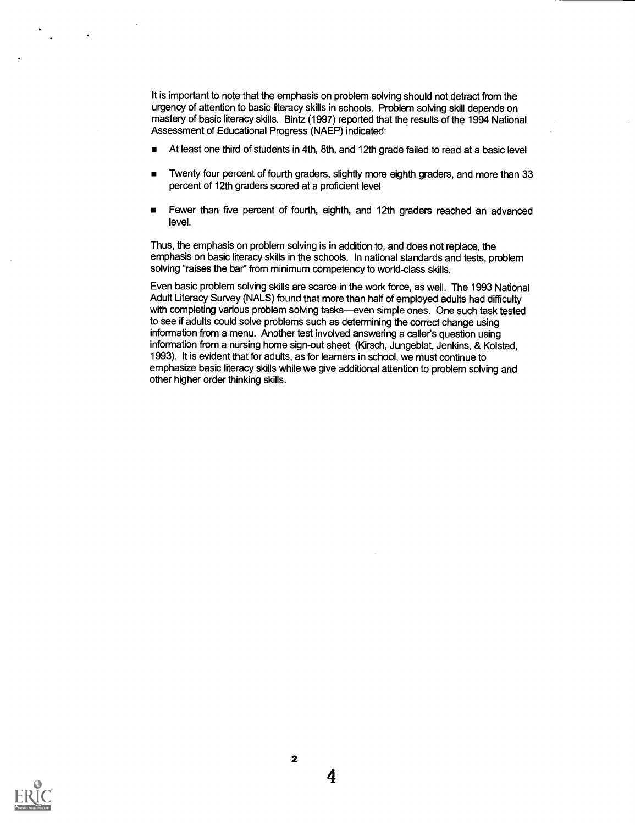It is important to note that the emphasis on problem solving should not detract from the urgency of attention to basic literacy skills in schools. Problem solving skill depends on mastery of basic literacy skills. Bintz (1997) reported that the results of the 1994 National Assessment of Educational Progress (NAEP) indicated:

- At least one third of students in 4th, 8th, and 12th grade failed to read at a basic level
- Twenty four percent of fourth graders, slightly more eighth graders, and more than 33 percent of 12th graders scored at a proficient level
- Fewer than five percent of fourth, eighth, and 12th graders reached an advanced  $\blacksquare$ level.

Thus, the emphasis on problem solving is in addition to, and does not replace, the emphasis on basic literacy skills in the schools. In national standards and tests, problem solving "raises the bar" from minimum competency to world-class skills.

Even basic problem solving skills are scarce in the work force, as well. The 1993 National Adult Literacy Survey (NALS) found that more than half of employed adults had difficulty with completing various problem solving tasks-even simple ones. One such task tested to see if adults could solve problems such as determining the correct change using information from a menu. Another test involved answering a caller's question using information from a nursing home sign-out sheet (Kirsch, Jungeblat, Jenkins, & Kolstad, 1993). It is evident that for adults, as for learners in school, we must continue to emphasize basic literacy skills while we give additional attention to problem solving and other higher order thinking skills.



2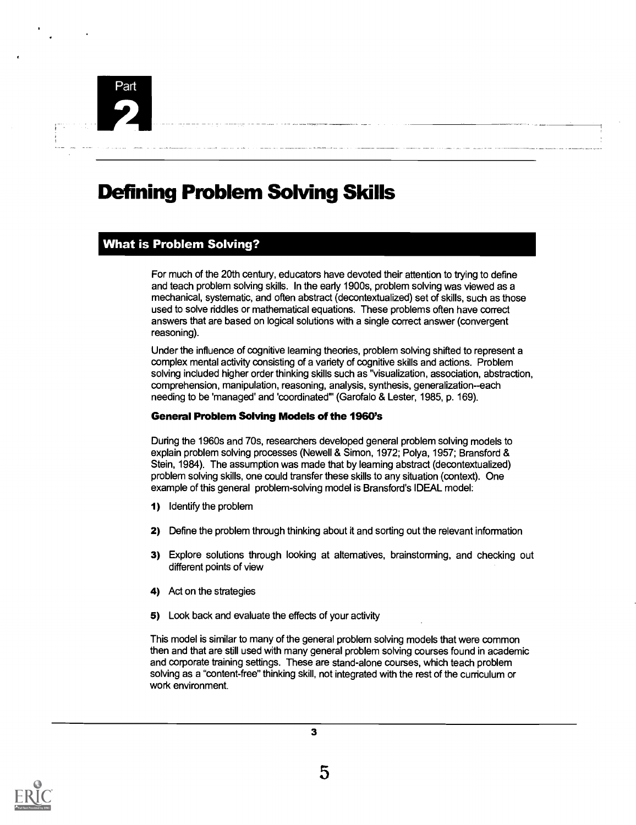

## Defining Problem Solving Skills

#### What is Problem Solving?

For much of the 20th century, educators have devoted their attention to trying to define and teach problem solving skills. In the early 1900s, problem solving was viewed as a mechanical, systematic, and often abstract (decontextualized) set of skills, such as those used to solve riddles or mathematical equations. These problems often have correct answers that are based on logical solutions with a single correct answer (convergent reasoning).

Under the influence of cognitive leaming theories, problem solving shifted to represent a complex mental activity consisting of a variety of cognitive skills and actions. Problem solving included higher order thinking skills such as "visualization, association, abstraction, comprehension, manipulation, reasoning, analysis, synthesis, generalization--each needing to be 'managed' and 'coordinated" (Garofalo & Lester, 1985, p. 169).

#### General Problem Solving Models of the 1960's

During the 1960s and 70s, researchers developed general problem solving models to explain problem solving processes (Newell & Simon, 1972; Polya, 1957; Bransford & Stein, 1984). The assumption was made that by learning abstract (decontextualized) problem solving skills, one could transfer these skills to any situation (context). One example of this general problem-solving model is Bransford's IDEAL model:

- 1) Identify the problem
- 2) Define the problem through thinking about it and sorting out the relevant information
- 3) Explore solutions through looking at altematives, brainstorming, and checking out different points of view
- 4) Act on the strategies
- 5) Look back and evaluate the effects of your activity

This model is similar to many of the general problem solving models that were common then and that are still used with many general problem solving courses found in academic and corporate training settings. These are stand-alone courses, which teach problem solving as a "content-free" thinking skill, not integrated with the rest of the curriculum or work environment.

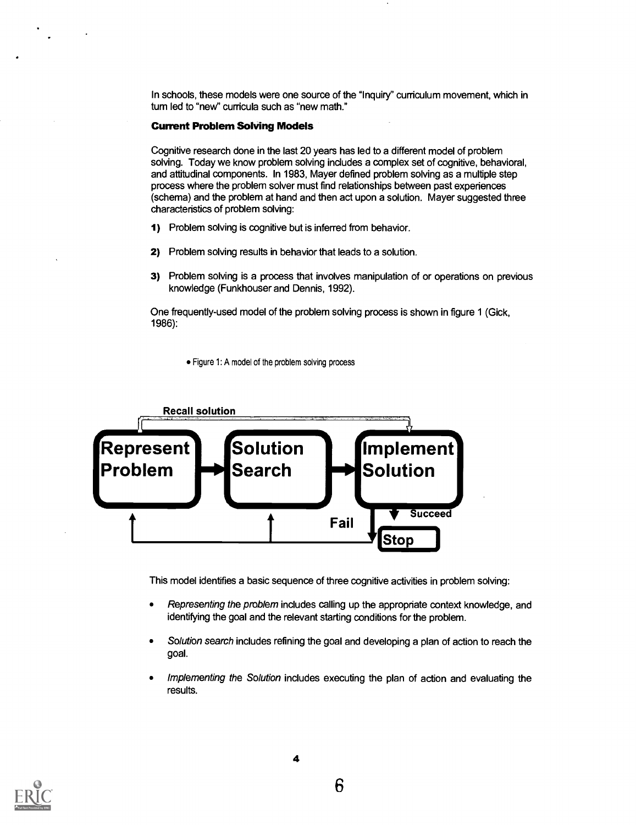In schools, these models were one source of the "Inquiry" curriculum movement, which in tum led to "new" curricula such as "new math."

#### Current Problem Solving Models

Cognitive research done in the last 20 years has led to a different model of problem solving. Today we know problem solving includes a complex set of cognitive, behavioral, and attitudinal components. In 1983, Mayer defined problem solving as a multiple step process where the problem solver must find relationships between past experiences (schema) and the problem at hand and then act upon a solution. Mayer suggested three characteristics of problem solving:

- 1) Problem solving is cognitive but is inferred from behavior.
- 2) Problem solving results in behavior that leads to a solution.
- 3) Problem solving is a process that involves manipulation of or operations on previous knowledge (Funkhouser and Dennis, 1992).

One frequently-used model of the problem solving process is shown in figure 1 (Gick, 1986):

Figure 1: A model of the problem solving process



This model identifies a basic sequence of three cognitive activities in problem solving:

- Representing the problem includes calling up the appropriate context knowledge, and  $\bullet$ identifying the goal and the relevant starting conditions for the problem.
- Solution search includes refining the goal and developing a plan of action to reach the  $\bullet$ goal.
- Implementing the Solution includes executing the plan of action and evaluating the  $\bullet$ results.

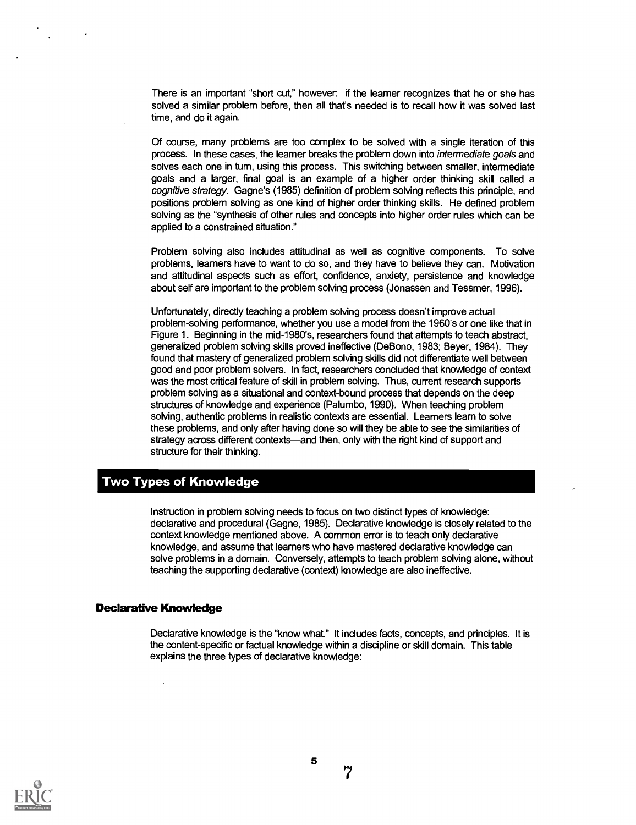There is an important "short cut," however: if the learner recognizes that he or she has solved a similar problem before, then all that's needed is to recall how it was solved last time, and do it again.

Of course, many problems are too complex to be solved with a single iteration of this process. In these cases, the learner breaks the problem down into intennediate goals and solves each one in tum, using this process. This switching between smaller, intermediate goals and a larger, final goal is an example of a higher order thinking skill called a cognitive strategy. Gagne's (1985) definition of problem solving reflects this principle, and positions problem solving as one kind of higher order thinking skills. He defined problem solving as the "synthesis of other rules and concepts into higher order rules which can be applied to a constrained situation."

Problem solving also includes attitudinal as well as cognitive components. To solve problems, learners have to want to do so, and they have to believe they can. Motivation and attitudinal aspects such as effort, confidence, anxiety, persistence and knowledge about self are important to the problem solving process (Jonassen and Tessmer, 1996).

Unfortunately, directly teaching a problem solving process doesn't improve actual problem-solving performance, whether you use a model from the 1960's or one like that in Figure 1. Beginning in the mid-1980's, researchers found that attempts to teach abstract, generalized problem solving skills proved ineffective (De Bono, 1983; Beyer, 1984). They found that mastery of generalized problem solving skills did not differentiate well between good and poor problem solvers. In fact, researchers concluded that knowledge of context was the most critical feature of skill in problem solving. Thus, current research supports problem solving as a situational and context-bound process that depends on the deep structures of knowledge and experience (Palumbo, 1990). When teaching problem solving, authentic problems in realistic contexts are essential. Leamers learn to solve these problems, and only after having done so will they be able to see the similarities of strategy across different contexts—and then, only with the right kind of support and structure for their thinking.

#### Two Types of Knowledge

Instruction in problem solving needs to focus on two distinct types of knowledge: declarative and procedural (Gagne, 1985). Declarative knowledge is closely related to the context knowledge mentioned above. A common error is to teach only declarative knowledge, and assume that leamers who have mastered declarative knowledge can solve problems in a domain. Conversely, attempts to teach problem solving alone, without teaching the supporting declarative (context) knowledge are also ineffective.

#### Declarative Knowledge

Declarative knowledge is the "know what." It includes facts, concepts, and principles. It is the content-specific or factual knowledge within a discipline or skill domain. This table explains the three types of declarative knowledge:

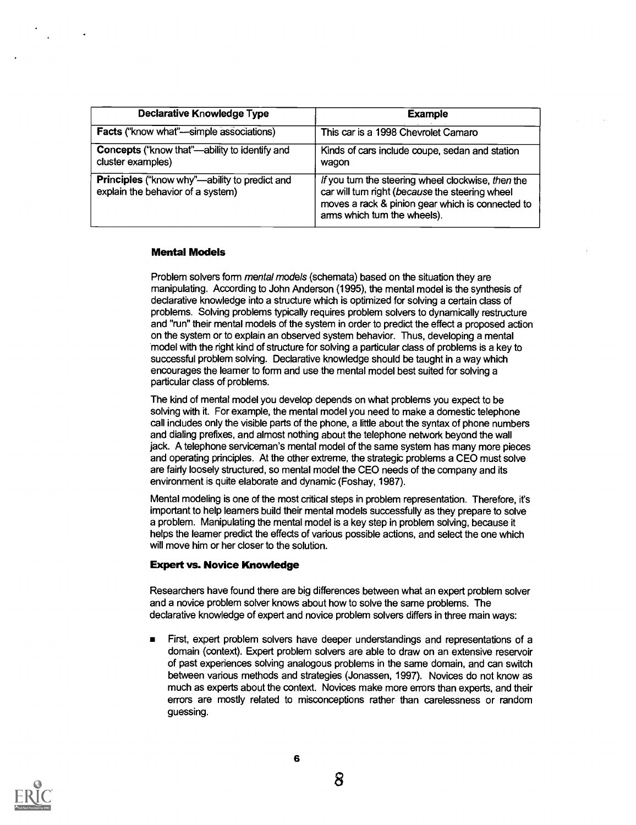| Declarative Knowledge Type                                                                | <b>Example</b>                                                                                                                                                                          |  |
|-------------------------------------------------------------------------------------------|-----------------------------------------------------------------------------------------------------------------------------------------------------------------------------------------|--|
| <b>Facts</b> ("know what"—simple associations)                                            | This car is a 1998 Chevrolet Camaro                                                                                                                                                     |  |
| Concepts ("know that"-ability to identify and<br>cluster examples)                        | Kinds of cars include coupe, sedan and station<br>wagon                                                                                                                                 |  |
| <b>Principles</b> ("know why"—ability to predict and<br>explain the behavior of a system) | If you turn the steering wheel clockwise, then the<br>car will tum right (because the steering wheel<br>moves a rack & pinion gear which is connected to<br>arms which tum the wheels). |  |

#### Mental Models

Problem solvers form mental models (schemata) based on the situation they are manipulating. According to John Anderson (1995), the mental model is the synthesis of declarative knowledge into a structure which is optimized for solving a certain class of problems. Solving problems typically requires problem solvers to dynamically restructure and "run" their mental models of the system in order to predict the effect a proposed action on the system or to explain an observed system behavior. Thus, developing a mental model with the right kind of structure for solving a particular class of problems is a key to successful problem solving. Declarative knowledge should be taught in a way which encourages the learner to form and use the mental model best suited for solving a particular class of problems.

The kind of mental model you develop depends on what problems you expect to be solving with it. For example, the mental model you need to make a domestic telephone call includes only the visible parts of the phone, a little about the syntax of phone numbers and dialing prefixes, and almost nothing about the telephone network beyond the wall jack. A telephone serviceman's mental model of the same system has many more pieces and operating principles. At the other extreme, the strategic problems a CEO must solve are fairly loosely structured, so mental model the CEO needs of the company and its environment is quite elaborate and dynamic (Foshay, 1987).

Mental modeling is one of the most critical steps in problem representation. Therefore, it's important to help learners build their mental models successfully as they prepare to solve a problem. Manipulating the mental model is a key step in problem solving, because it helps the learner predict the effects of various possible actions, and select the one which will move him or her closer to the solution.

#### Expert vs. Novice Knowledge

Researchers have found there are big differences between what an expert problem solver and a novice problem solver knows about how to solve the same problems. The declarative knowledge of expert and novice problem solvers differs in three main ways:

First, expert problem solvers have deeper understandings and representations of a domain (context). Expert problem solvers are able to draw on an extensive reservoir of past experiences solving analogous problems in the same domain, and can switch between various methods and strategies (Jonassen, 1997). Novices do not know as much as experts about the context. Novices make more errors than experts, and their errors are mostly related to misconceptions rather than carelessness or random guessing.

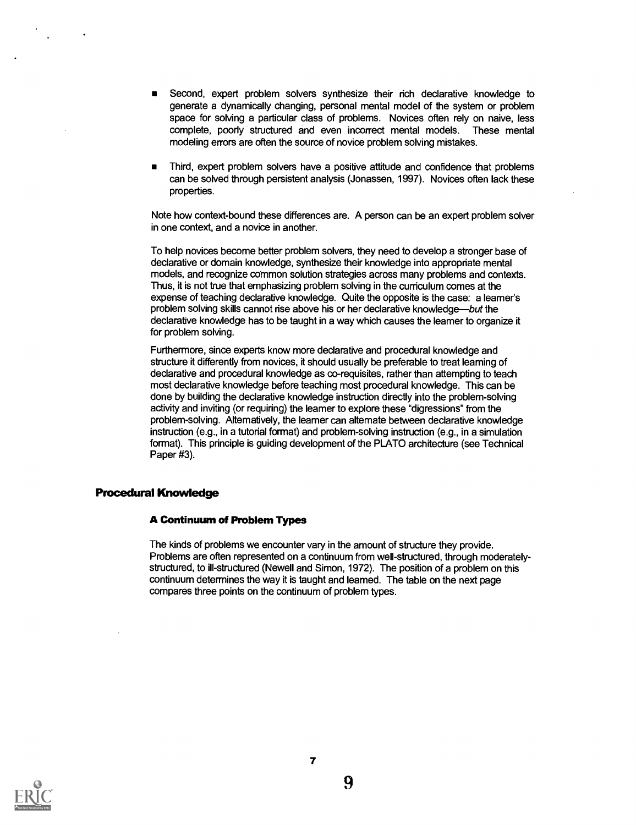- Second, expert problem solvers synthesize their rich declarative knowledge to generate a dynamically changing, personal mental model of the system or problem space for solving a particular class of problems. Novices often rely on naive, less complete, poorly structured and even incorrect mental models. These mental modeling errors are often the source of novice problem solving mistakes.
- Third, expert problem solvers have a positive attitude and confidence that problems  $\blacksquare$ can be solved through persistent analysis (Jonassen, 1997). Novices often lack these properties.

Note how context-bound these differences are. A person can be an expert problem solver in one context, and a novice in another.

To help novices become better problem solvers, they need to develop a stronger base of declarative or domain knowledge, synthesize their knowledge into appropriate mental models, and recognize common solution strategies across many problems and contexts. Thus, it is not true that emphasizing problem solving in the curriculum comes at the expense of teaching declarative knowledge. Quite the opposite is the case: a learner's problem solving skills cannot rise above his or her declarative knowledge—but the declarative knowledge has to be taught in a way which causes the learner to organize it for problem solving.

Furthermore, since experts know more declarative and procedural knowledge and structure it differently from novices, it should usually be preferable to treat learning of declarative and procedural knowledge as co-requisites, rather than attempting to teach most declarative knowledge before teaching most procedural knowledge. This can be done by building the declarative knowledge instruction directly into the problem-solving activity and inviting (or requiring) the learner to explore these "digressions" from the problem-solving. Alternatively, the learner can alternate between declarative knowledge instruction (e.g., in a tutorial format) and problem-solving instruction (e.g., in a simulation format). This principle is guiding development of the PLATO architecture (see Technical Paper #3).

#### Procedural Knowledge

#### A Continuum of Problem Types

The kinds of problems we encounter vary in the amount of structure they provide. Problems are often represented on a continuum from well-structured, through moderatelystructured, to ill-structured (Newell and Simon, 1972). The position of a problem on this continuum determines the way it is taught and learned. The table on the next page compares three points on the continuum of problem types.

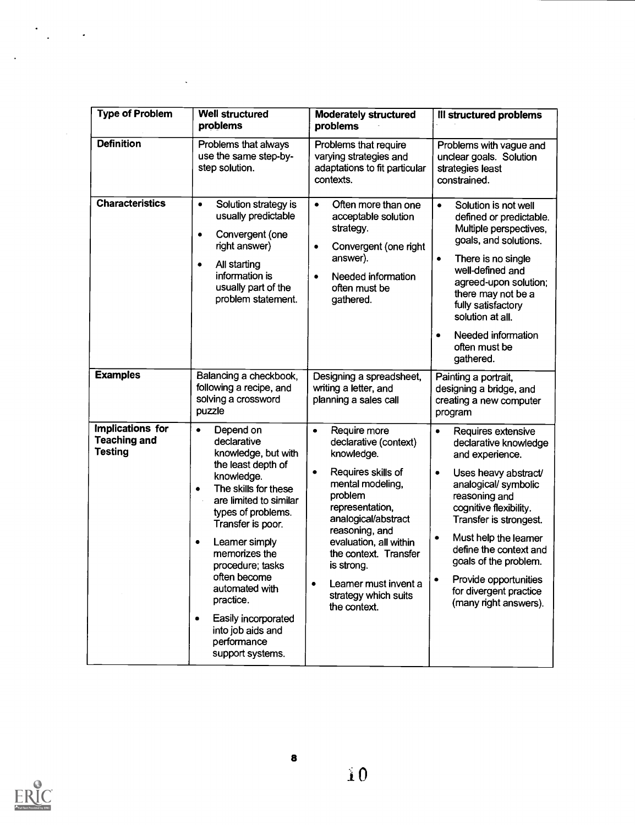| <b>Type of Problem</b>                                    | Well structured<br>problems                                                                                                                                                                                                                                                                                                                                                                              | <b>Moderately structured</b><br>problems                                                                                                                                                                                                                                                                                        | III structured problems                                                                                                                                                                                                                                                                                                                                                                       |
|-----------------------------------------------------------|----------------------------------------------------------------------------------------------------------------------------------------------------------------------------------------------------------------------------------------------------------------------------------------------------------------------------------------------------------------------------------------------------------|---------------------------------------------------------------------------------------------------------------------------------------------------------------------------------------------------------------------------------------------------------------------------------------------------------------------------------|-----------------------------------------------------------------------------------------------------------------------------------------------------------------------------------------------------------------------------------------------------------------------------------------------------------------------------------------------------------------------------------------------|
| <b>Definition</b>                                         | Problems that always<br>use the same step-by-<br>step solution.                                                                                                                                                                                                                                                                                                                                          | Problems that require<br>varying strategies and<br>adaptations to fit particular<br>contexts.                                                                                                                                                                                                                                   | Problems with vague and<br>unclear goals. Solution<br>strategies least<br>constrained.                                                                                                                                                                                                                                                                                                        |
| <b>Characteristics</b>                                    | Solution strategy is<br>$\bullet$<br>usually predictable<br>Convergent (one<br>$\bullet$<br>right answer)<br>All starting<br>$\bullet$<br>information is<br>usually part of the<br>problem statement.                                                                                                                                                                                                    | Often more than one<br>$\bullet$<br>acceptable solution<br>strategy.<br>Convergent (one right<br>٠<br>answer).<br>Needed information<br>$\bullet$<br>often must be<br>gathered.                                                                                                                                                 | Solution is not well<br>$\bullet$<br>defined or predictable.<br>Multiple perspectives,<br>goals, and solutions.<br>There is no single<br>$\bullet$<br>well-defined and<br>agreed-upon solution;<br>there may not be a<br>fully satisfactory<br>solution at all.<br>Needed information<br>٠<br>often must be<br>gathered.                                                                      |
| <b>Examples</b>                                           | Balancing a checkbook,<br>following a recipe, and<br>solving a crossword<br>puzzle                                                                                                                                                                                                                                                                                                                       | Designing a spreadsheet,<br>writing a letter, and<br>planning a sales call                                                                                                                                                                                                                                                      | Painting a portrait,<br>designing a bridge, and<br>creating a new computer<br>program                                                                                                                                                                                                                                                                                                         |
| Implications for<br><b>Teaching and</b><br><b>Testing</b> | Depend on<br>$\bullet$<br>declarative<br>knowledge, but with<br>the least depth of<br>knowledge.<br>The skills for these<br>٠<br>are limited to similar<br>types of problems.<br>Transfer is poor.<br>Leamer simply<br>٠<br>memorizes the<br>procedure; tasks<br>often become<br>automated with<br>practice.<br>Easily incorporated<br>$\bullet$<br>into job aids and<br>performance<br>support systems. | Require more<br>$\bullet$<br>declarative (context)<br>knowledge.<br>Requires skills of<br>$\bullet$<br>mental modeling,<br>problem<br>representation,<br>analogical/abstract<br>reasoning, and<br>evaluation, all within<br>the context. Transfer<br>is strong.<br>Leamer must invent a<br>strategy which suits<br>the context. | Requires extensive<br>$\bullet$<br>declarative knowledge<br>and experience.<br>Uses heavy abstract/<br>$\bullet$<br>analogical/symbolic<br>reasoning and<br>cognitive flexibility.<br>Transfer is strongest.<br>Must help the leamer<br>$\bullet$<br>define the context and<br>goals of the problem.<br>Provide opportunities<br>$\bullet$<br>for divergent practice<br>(many right answers). |

 $\ddot{\phantom{0}}$ 

 $\bar{\mathcal{A}}$ 

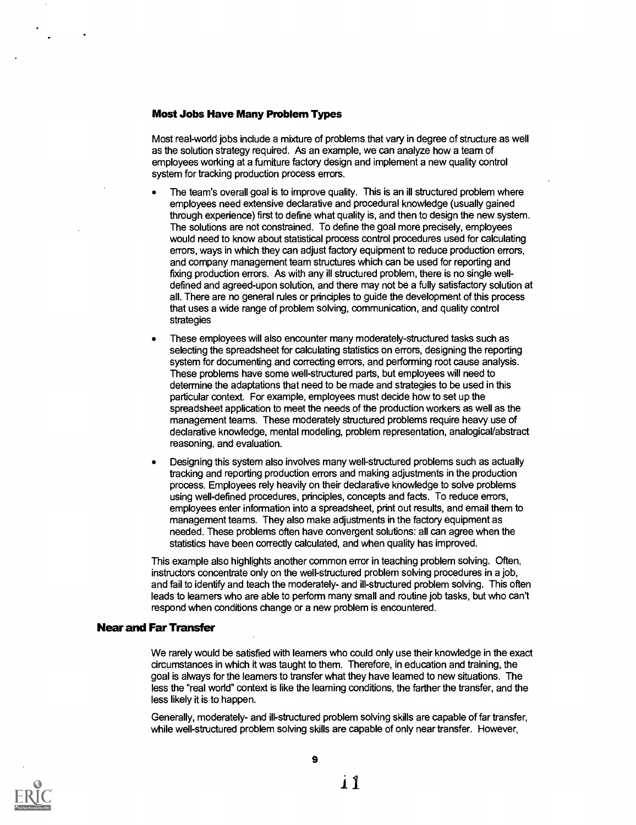#### Most Jobs Have Many Problem Types

Most real-world jobs include a mixture of problems that vary in degree of structure as well as the solution strategy required. As an example, we can analyze how a team of employees working at a furniture factory design and implement a new quality control system for tracking production process errors.

- The team's overall goal is to improve quality. This is an ill structured problem where employees need extensive declarative and procedural knowledge (usually gained through experience) first to define what quality is, and then to design the new system. The solutions are not constrained. To define the goal more precisely, employees would need to know about statistical process control procedures used for calculating errors, ways in which they can adjust factory equipment to reduce production errors, and company management team structures which can be used for reporting and fixing production errors. As with any ill structured problem, there is no single welldefined and agreed-upon solution, and there may not be a fully satisfactory solution at all. There are no general rules or principles to guide the development of this process that uses a wide range of problem solving, communication, and quality control strategies
- These employees will also encounter many moderately-structured tasks such as selecting the spreadsheet for calculating statistics on errors, designing the reporting system for documenting and correcting errors, and performing root cause analysis. These problems have some well-structured parts, but employees will need to determine the adaptations that need to be made and strategies to be used in this particular context. For example, employees must decide how to set up the spreadsheet application to meet the needs of the production workers as well as the management teams. These moderately structured problems require heavy use of declarative knowledge, mental modeling, problem representation, analogical/abstract reasoning, and evaluation.
- Designing this system also involves many well-structured problems such as actually tracking and reporting production errors and making adjustments in the production process. Employees rely heavily on their declarative knowledge to solve problems using well-defined procedures, principles, concepts and facts. To reduce errors, employees enter information into a spreadsheet, print out results, and email them to management teams. They also make adjustments in the factory equipment as needed. These problems often have convergent solutions: all can agree when the statistics have been correctly calculated, and when quality has improved.

This example also highlights another common error in teaching problem solving. Often, instructors concentrate only on the well-structured problem solving procedures in a job, and fail to identify and teach the moderately- and ill-structured problem solving. This often leads to learners who are able to perform many small and routine job tasks, but who can't respond when conditions change or a new problem is encountered.

#### Near and Far Transfer

We rarely would be satisfied with learners who could only use their knowledge in the exact circumstances in which it was taught to them. Therefore, in education and training, the goal is always for the learners to transfer what they have learned to new situations. The less the "real world" context is like the learning conditions, the farther the transfer, and the less likely it is to happen.

Generally, moderately- and ill-structured problem solving skills are capable of far transfer, while well-structured problem solving skills are capable of only near transfer. However,

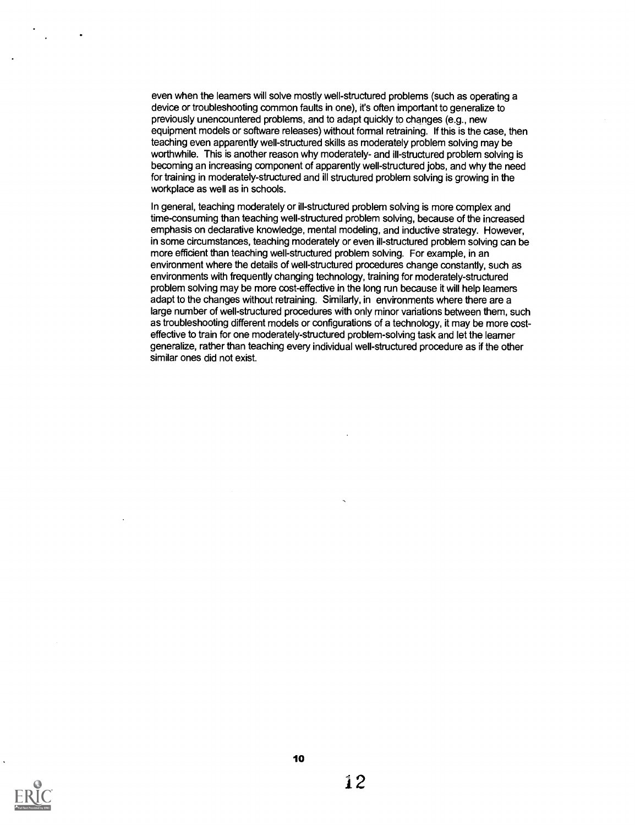even when the learners will solve mostly well-structured problems (such as operating a device or troubleshooting common faults in one), it's often important to generalize to previously unencountered problems, and to adapt quickly to changes (e.g., new equipment models or software releases) without formal retraining. If this is the case, then teaching even apparently well-structured skills as moderately problem solving may be worthwhile. This is another reason why moderately- and ill-structured problem solving is becoming an increasing component of apparently well-structured jobs, and why the need for training in moderately-structured and ill structured problem solving is growing in the workplace as well as in schools.

In general, teaching moderately or ill-structured problem solving is more complex and time-consuming than teaching well-structured problem solving, because of the increased emphasis on declarative knowledge, mental modeling, and inductive strategy. However, in some circumstances, teaching moderately or even ill-structured problem solving can be more efficient than teaching well-structured problem solving. For example, in an environment where the details of well-structured procedures change constantly, such as environments with frequently changing technology, training for moderately-structured problem solving may be more cost-effective in the long run because it will help learners adapt to the changes without retraining. Similarly, in environments where there are a large number of well-structured procedures with only minor variations between them, such as troubleshooting different models or configurations of a technology, it may be more costeffective to train for one moderately-structured problem-solving task and let the learner generalize, rather than teaching every individual well-structured procedure as if the other similar ones did not exist.

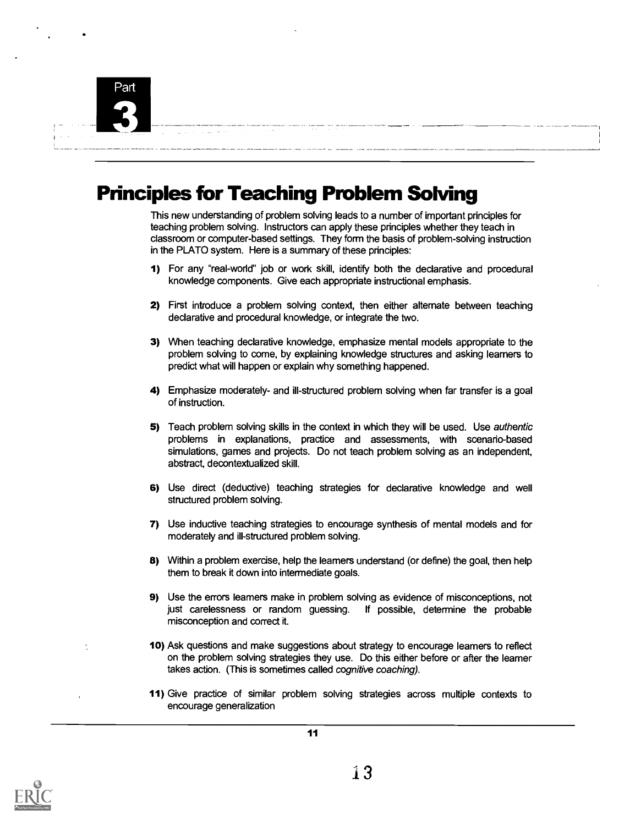

## Principles for Teaching Problem Solving

This new understanding of problem solving leads to a number of important principles for teaching problem solving. Instructors can apply these principles whether they teach in classroom or computer-based settings. They form the basis of problem-solving instruction in the PLATO system. Here is a summary of these principles:

- 1) For any "real-world" job or work skill, identify both the declarative and procedural knowledge components. Give each appropriate instructional emphasis.
- 2) First introduce a problem solving context, then either alternate between teaching declarative and procedural knowledge, or integrate the two.
- 3) When teaching declarative knowledge, emphasize mental models appropriate to the problem solving to come, by explaining knowledge structures and asking learners to predict what will happen or explain why something happened.
- 4) Emphasize moderately- and ill-structured problem solving when far transfer is a goal of instruction.
- 5) Teach problem solving skills in the context in which they will be used. Use authentic problems in explanations, practice and assessments, with scenario-based simulations, games and projects. Do not teach problem solving as an independent, abstract, decontextualized skill.
- 6) Use direct (deductive) teaching strategies for declarative knowledge and well structured problem solving.
- 7) Use inductive teaching strategies to encourage synthesis of mental models and for moderately and ill-structured problem solving.
- 8) Within a problem exercise, help the learners understand (or define) the goal, then help them to break it down into intermediate goals.
- 9) Use the errors learners make in problem solving as evidence of misconceptions, not just carelessness or random guessing. If possible, determine the probable misconception and correct it.
- 10) Ask questions and make suggestions about strategy to encourage learners to reflect on the problem solving strategies they use. Do this either before or after the learner takes action. (This is sometimes called cognitive coaching).
- 11) Give practice of similar problem solving strategies across multiple contexts to encourage generalization



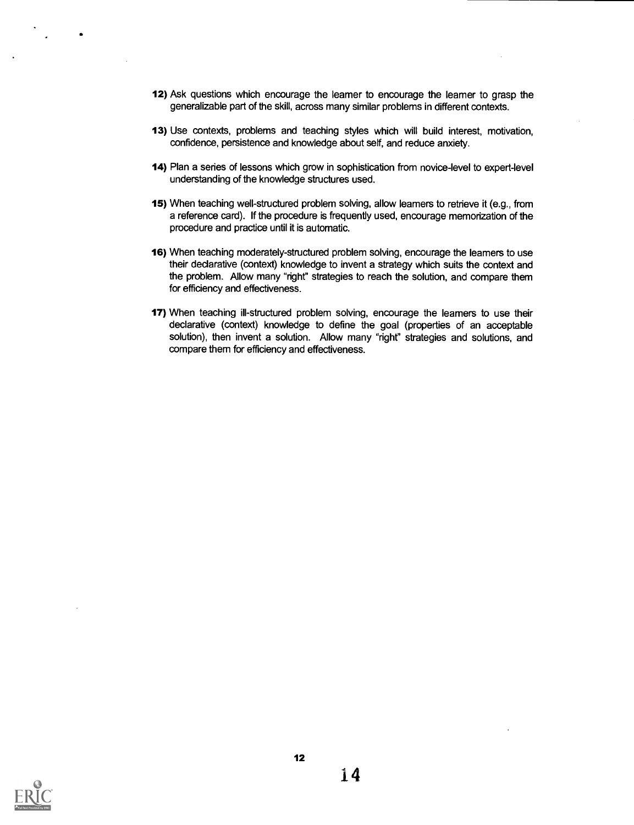- 12) Ask questions which encourage the learner to encourage the learner to grasp the generalizable part of the skill, across many similar problems in different contexts.
- 13) Use contexts, problems and teaching styles which will build interest, motivation, confidence, persistence and knowledge about seff, and reduce anxiety.
- 14) Plan a series of lessons which grow in sophistication from novice-level to expert-level understanding of the knowledge structures used.
- 15) When teaching well-structured problem solving, allow learners to retrieve it (e.g., from a reference card). If the procedure is frequently used, encourage memorization of the procedure and practice until it is automatic.
- 16) When teaching moderately-structured problem solving, encourage the learners to use their declarative (context) knowledge to invent a strategy which suits the context and the problem. Allow many "right" strategies to reach the solution, and compare them for efficiency and effectiveness.
- 17) When teaching ill-structured problem solving, encourage the leamers to use their declarative (context) knowledge to define the goal (properties of an acceptable solution), then invent a solution. Allow many "right" strategies and solutions, and compare them for efficiency and effectiveness.

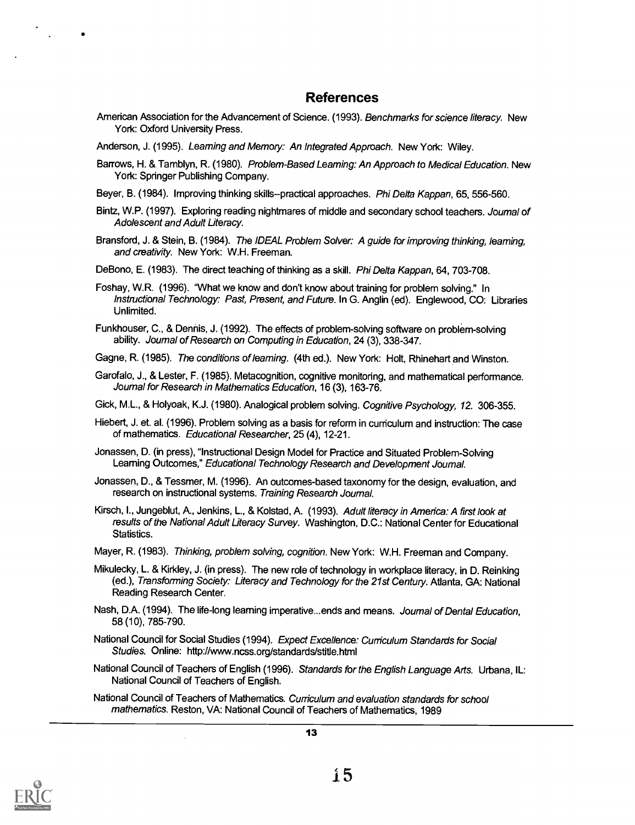#### References

American Association for the Advancement of Science. (1993). Benchmarks for science literacy. New York: Oxford University Press.

Anderson, J. (1995). Learning and Memory: An Integrated Approach. New York: Wiley.

- Barrows, H. & Tamblyn, R. (1980). Problem-Based Learning: An Approach to Medical Education. New York: Springer Publishing Company.
- Beyer, B. (1984). Improving thinking skills--practical approaches. Phi Delta Kappan, 65, 556-560.
- Bintz, W.P. (1997). Exploring reading nightmares of middle and secondary school teachers. Journal of Adolescent and Adult Literacy.
- Bransford, J. & Stein, B. (1984). The IDEAL Problem Solver: A guide for improving thinking, leaming, and creativity. New York: W.H. Freeman.

DeBono, E. (1983). The direct teaching of thinking as a skill. *Phi Delta Kappan*, 64, 703-708.

Foshay, W.R. (1996). 'What we know and don't know about training for problem solving." In Instructional Technology: Past, Present, and Future. In G. Anglin (ed). Englewood, CO: Libraries Unlimited.

Funkhouser, C., & Dennis, J. (1992). The effects of problem-solving software on problem-solving ability. Journal of Research on Computing in Education, 24 (3), 338-347.

- Gagne, R. (1985). The conditions of learning. (4th ed.). New York: Holt, Rhinehart and Winston.
- Garofalo, J., & Lester, F. (1985). Metacognition, cognitive monitoring, and mathematical performance. Journal for Research in Mathematics Education, 16 (3), 163-76.

Gick, M.L., & Holyoak, K.J. (1980). Analogical problem solving. Cognitive Psychology, 12. 306-355.

- Hiebert, J. et. al. (1996). Problem solving as a basis for reform in curriculum and instruction: The case of mathematics. Educational Researcher, 25 (4), 12-21.
- Jonassen, D. (in press), "Instructional Design Model for Practice and Situated Problem-Solving Learning Outcomes," Educational Technology Research and Development Journal.
- Jonassen, D., & Tessmer, M. (1996). An outcomes-based taxonomy for the design, evaluation, and research on instructional systems. Training Research Journal.
- Kirsch, I., Jungeblut, A., Jenkins, L., & Kolstad, A. (1993). Adult literacy in America: A first look at results of the National Adult Literacy Survey. Washington, D.C.: National Center for Educational Statistics.
- Mayer, R. (1983). Thinking, problem solving, cognition. New York: W.H. Freeman and Company.
- Mikulecky, L. & Kirkley, J. (in press). The new role of technology in workplace literacy, in D. Reinking (ed.), Transforming Society: Literacy and Technology for the 21st Century. Atlanta, GA: National Reading Research Center.
- Nash, D.A. (1994). The life-long learning imperative...ends and means. Journal of Dental Education, 58 (10), 785-790.
- National Council for Social Studies (1994). Expect Excellence: Curriculum Standards for Social Studies. Online: http://www.ncss.org/standards/stitle.html
- National Council of Teachers of English (1996). Standards for the English Language Arts. Urbana, IL: National Council of Teachers of English.

National Council of Teachers of Mathematics. Curriculum and evaluation standards for school mathematics. Reston, VA: National Council of Teachers of Mathematics, 1989



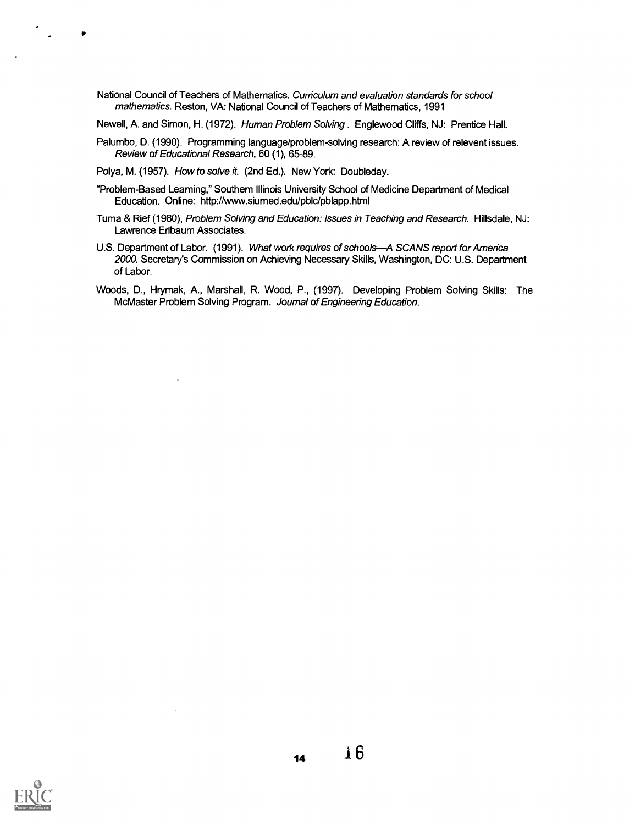National Council of Teachers of Mathematics. Curriculum and evaluation standards for school mathematics. Reston, VA: National Council of Teachers of Mathematics, 1991

Newell, A. and Simon, H. (1972). Human Problem Solving . Englewood Cliffs, NJ: Prentice Hall.

- Palumbo, D. (1990). Programming language/problem-solving research: A review of relevent issues. Review of Educational Research, 60 (1), 65-89.
- Polya, M. (1957). How to solve it. (2nd Ed.). New York: Doubleday.
- "Problem-Based Learning," Southern Illinois University School of Medicine Department of Medical Education. Online: http://www.siumed.edu/pblc/pblapp.htrnl
- Tuma & Rief (1980), Problem Solving and Education: Issues in Teaching and Research. Hillsdale, NJ: Lawrence Eribaum Associates.
- U.S. Department of Labor. (1991). What work requires of schools-A SCANS report for America 2000. Secretary's Commission on Achieving Necessary Skills, Washington, DC: U.S. Department of Labor.
- Woods, D., Hrymak, A., Marshall, R. Wood, P., (1997). Developing Problem Solving Skills: The McMaster Problem Solving Program. Journal of Engineering Education.